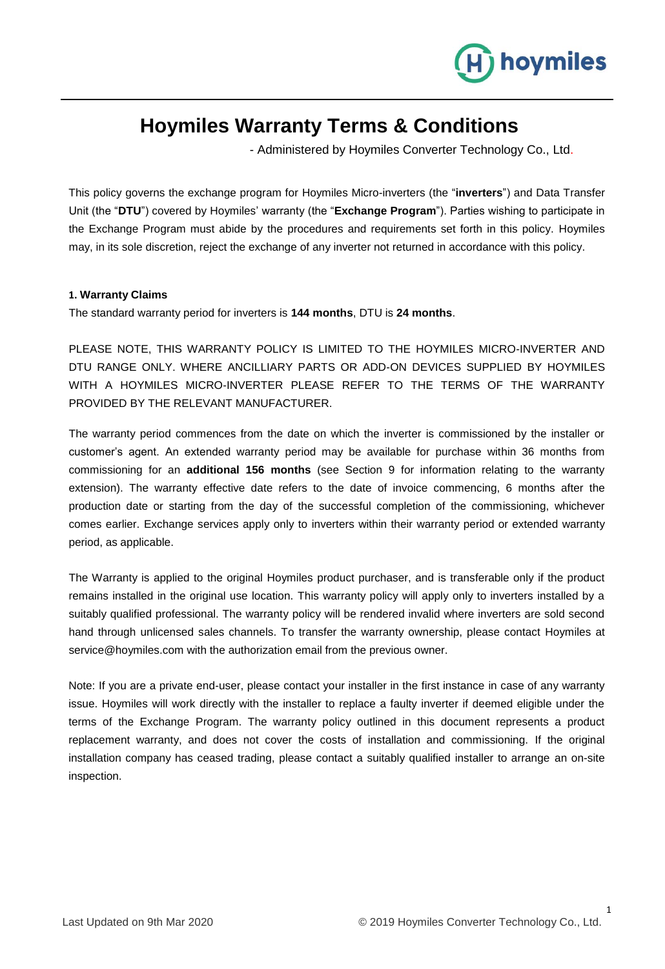

# **Hoymiles Warranty Terms & Conditions**

- Administered by Hoymiles Converter Technology Co., Ltd.

This policy governs the exchange program for Hoymiles Micro-inverters (the "**inverters**") and Data Transfer Unit (the "**DTU**") covered by Hoymiles' warranty (the "**Exchange Program**"). Parties wishing to participate in the Exchange Program must abide by the procedures and requirements set forth in this policy. Hoymiles may, in its sole discretion, reject the exchange of any inverter not returned in accordance with this policy.

# **1. Warranty Claims**

The standard warranty period for inverters is **144 months**, DTU is **24 months**.

PLEASE NOTE, THIS WARRANTY POLICY IS LIMITED TO THE HOYMILES MICRO-INVERTER AND DTU RANGE ONLY. WHERE ANCILLIARY PARTS OR ADD-ON DEVICES SUPPLIED BY HOYMILES WITH A HOYMILES MICRO-INVERTER PLEASE REFER TO THE TERMS OF THE WARRANTY PROVIDED BY THE RELEVANT MANUFACTURER.

The warranty period commences from the date on which the inverter is commissioned by the installer or customer's agent. An extended warranty period may be available for purchase within 36 months from commissioning for an **additional 156 months** (see Section 9 for information relating to the warranty extension). The warranty effective date refers to the date of invoice commencing, 6 months after the production date or starting from the day of the successful completion of the commissioning, whichever comes earlier. Exchange services apply only to inverters within their warranty period or extended warranty period, as applicable.

The Warranty is applied to the original Hoymiles product purchaser, and is transferable only if the product remains installed in the original use location. This warranty policy will apply only to inverters installed by a suitably qualified professional. The warranty policy will be rendered invalid where inverters are sold second hand through unlicensed sales channels. To transfer the warranty ownership, please contact Hoymiles at service@hoymiles.com with the authorization email from the previous owner.

Note: If you are a private end-user, please contact your installer in the first instance in case of any warranty issue. Hoymiles will work directly with the installer to replace a faulty inverter if deemed eligible under the terms of the Exchange Program. The warranty policy outlined in this document represents a product replacement warranty, and does not cover the costs of installation and commissioning. If the original installation company has ceased trading, please contact a suitably qualified installer to arrange an on-site inspection.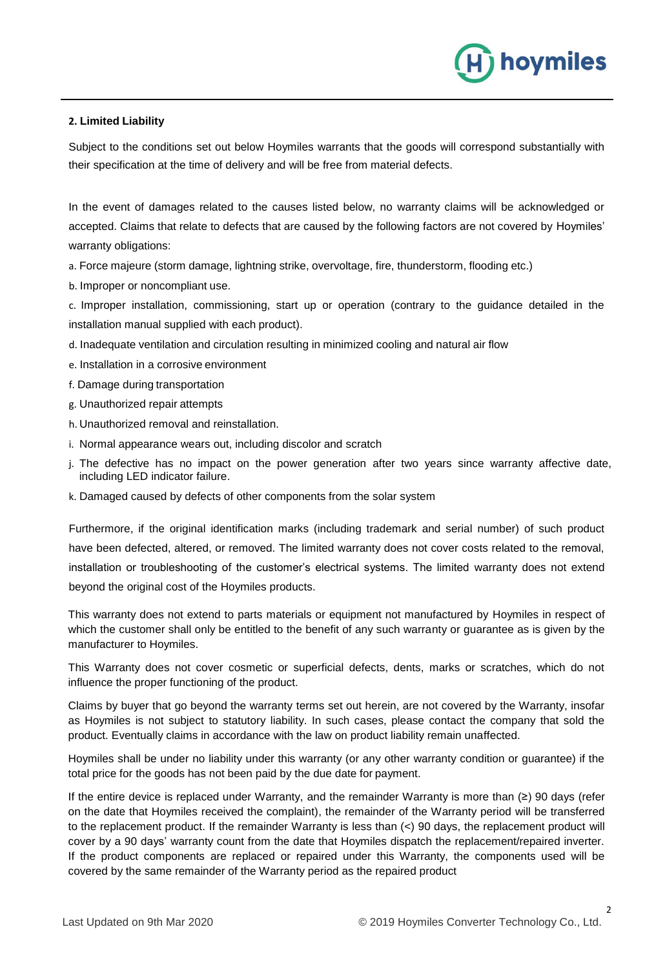# hoymiles

# **2. Limited Liability**

Subject to the conditions set out below Hoymiles warrants that the goods will correspond substantially with their specification at the time of delivery and will be free from material defects.

In the event of damages related to the causes listed below, no warranty claims will be acknowledged or accepted. Claims that relate to defects that are caused by the following factors are not covered by Hoymiles' warranty obligations:

a. Force majeure (storm damage, lightning strike, overvoltage, fire, thunderstorm, flooding etc.)

b. Improper or noncompliant use.

c. Improper installation, commissioning, start up or operation (contrary to the guidance detailed in the installation manual supplied with each product).

- d. Inadequate ventilation and circulation resulting in minimized cooling and natural air flow
- e. Installation in a corrosive environment
- f. Damage during transportation
- g. Unauthorized repair attempts
- h. Unauthorized removal and reinstallation.
- i. Normal appearance wears out, including discolor and scratch
- j. The defective has no impact on the power generation after two years since warranty affective date, including LED indicator failure.
- k. Damaged caused by defects of other components from the solar system

Furthermore, if the original identification marks (including trademark and serial number) of such product have been defected, altered, or removed. The limited warranty does not cover costs related to the removal, installation or troubleshooting of the customer's electrical systems. The limited warranty does not extend beyond the original cost of the Hoymiles products.

This warranty does not extend to parts materials or equipment not manufactured by Hoymiles in respect of which the customer shall only be entitled to the benefit of any such warranty or guarantee as is given by the manufacturer to Hoymiles.

This Warranty does not cover cosmetic or superficial defects, dents, marks or scratches, which do not influence the proper functioning of the product.

Claims by buyer that go beyond the warranty terms set out herein, are not covered by the Warranty, insofar as Hoymiles is not subject to statutory liability. In such cases, please contact the company that sold the product. Eventually claims in accordance with the law on product liability remain unaffected.

Hoymiles shall be under no liability under this warranty (or any other warranty condition or guarantee) if the total price for the goods has not been paid by the due date for payment.

If the entire device is replaced under Warranty, and the remainder Warranty is more than (≥) 90 days (refer on the date that Hoymiles received the complaint), the remainder of the Warranty period will be transferred to the replacement product. If the remainder Warranty is less than (<) 90 days, the replacement product will cover by a 90 days' warranty count from the date that Hoymiles dispatch the replacement/repaired inverter. If the product components are replaced or repaired under this Warranty, the components used will be covered by the same remainder of the Warranty period as the repaired product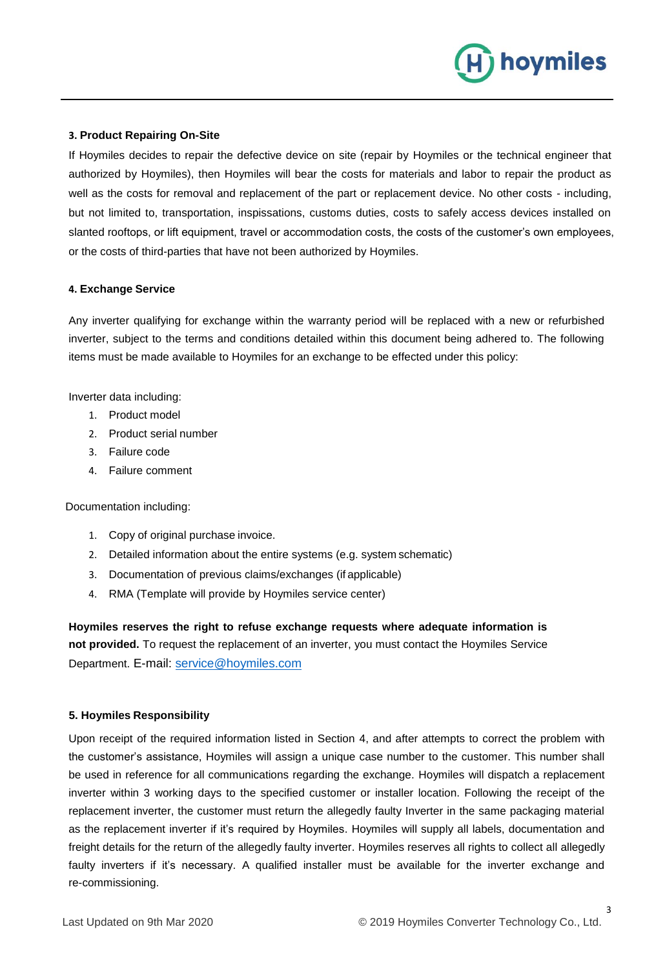

#### **3. Product Repairing On-Site**

If Hoymiles decides to repair the defective device on site (repair by Hoymiles or the technical engineer that authorized by Hoymiles), then Hoymiles will bear the costs for materials and labor to repair the product as well as the costs for removal and replacement of the part or replacement device. No other costs - including, but not limited to, transportation, inspissations, customs duties, costs to safely access devices installed on slanted rooftops, or lift equipment, travel or accommodation costs, the costs of the customer's own employees, or the costs of third-parties that have not been authorized by Hoymiles.

#### **4. Exchange Service**

Any inverter qualifying for exchange within the warranty period will be replaced with a new or refurbished inverter, subject to the terms and conditions detailed within this document being adhered to. The following items must be made available to Hoymiles for an exchange to be effected under this policy:

Inverter data including:

- 1. Product model
- 2. Product serial number
- 3. Failure code
- 4. Failure comment

Documentation including:

- 1. Copy of original purchase invoice.
- 2. Detailed information about the entire systems (e.g. system schematic)
- 3. Documentation of previous claims/exchanges (if applicable)
- 4. RMA (Template will provide by Hoymiles service center)

**Hoymiles reserves the right to refuse exchange requests where adequate information is not provided.** To request the replacement of an inverter, you must contact the Hoymiles Service Department. E-mail: [service@hoymiles.com](mailto:service@hoymiles.com)

#### **5. Hoymiles Responsibility**

Upon receipt of the required information listed in Section 4, and after attempts to correct the problem with the customer's assistance, Hoymiles will assign a unique case number to the customer. This number shall be used in reference for all communications regarding the exchange. Hoymiles will dispatch a replacement inverter within 3 working days to the specified customer or installer location. Following the receipt of the replacement inverter, the customer must return the allegedly faulty Inverter in the same packaging material as the replacement inverter if it's required by Hoymiles. Hoymiles will supply all labels, documentation and freight details for the return of the allegedly faulty inverter. Hoymiles reserves all rights to collect all allegedly faulty inverters if it's necessary. A qualified installer must be available for the inverter exchange and re-commissioning.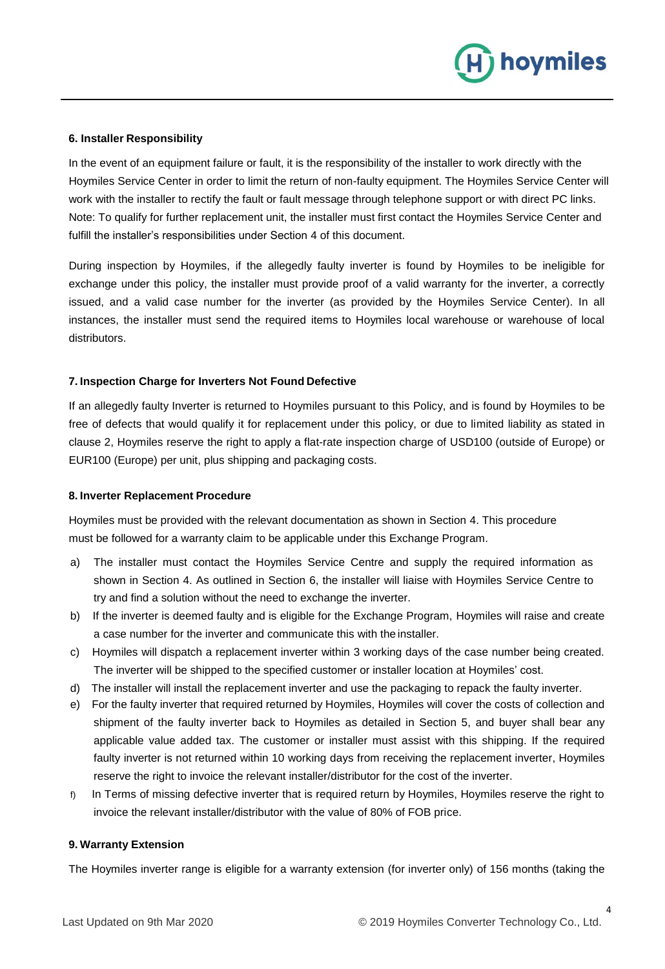

#### **6. Installer Responsibility**

In the event of an equipment failure or fault, it is the responsibility of the installer to work directly with the Hoymiles Service Center in order to limit the return of non-faulty equipment. The Hoymiles Service Center will work with the installer to rectify the fault or fault message through telephone support or with direct PC links. Note: To qualify for further replacement unit, the installer must first contact the Hoymiles Service Center and fulfill the installer's responsibilities under Section 4 of this document.

During inspection by Hoymiles, if the allegedly faulty inverter is found by Hoymiles to be ineligible for exchange under this policy, the installer must provide proof of a valid warranty for the inverter, a correctly issued, and a valid case number for the inverter (as provided by the Hoymiles Service Center). In all instances, the installer must send the required items to Hoymiles local warehouse or warehouse of local distributors.

# **7. Inspection Charge for Inverters Not Found Defective**

If an allegedly faulty Inverter is returned to Hoymiles pursuant to this Policy, and is found by Hoymiles to be free of defects that would qualify it for replacement under this policy, or due to limited liability as stated in clause 2, Hoymiles reserve the right to apply a flat-rate inspection charge of USD100 (outside of Europe) or EUR100 (Europe) per unit, plus shipping and packaging costs.

# **8. Inverter Replacement Procedure**

Hoymiles must be provided with the relevant documentation as shown in Section 4. This procedure must be followed for a warranty claim to be applicable under this Exchange Program.

- a) The installer must contact the Hoymiles Service Centre and supply the required information as shown in Section 4. As outlined in Section 6, the installer will liaise with Hoymiles Service Centre to try and find a solution without the need to exchange the inverter.
- b) If the inverter is deemed faulty and is eligible for the Exchange Program, Hoymiles will raise and create a case number for the inverter and communicate this with the installer.
- c) Hoymiles will dispatch a replacement inverter within 3 working days of the case number being created. The inverter will be shipped to the specified customer or installer location at Hoymiles' cost.
- d) The installer will install the replacement inverter and use the packaging to repack the faulty inverter.
- e) For the faulty inverter that required returned by Hoymiles, Hoymiles will cover the costs of collection and shipment of the faulty inverter back to Hoymiles as detailed in Section 5, and buyer shall bear any applicable value added tax. The customer or installer must assist with this shipping. If the required faulty inverter is not returned within 10 working days from receiving the replacement inverter, Hoymiles reserve the right to invoice the relevant installer/distributor for the cost of the inverter.
- f) In Terms of missing defective inverter that is required return by Hoymiles, Hoymiles reserve the right to invoice the relevant installer/distributor with the value of 80% of FOB price.

# **9. Warranty Extension**

The Hoymiles inverter range is eligible for a warranty extension (for inverter only) of 156 months (taking the